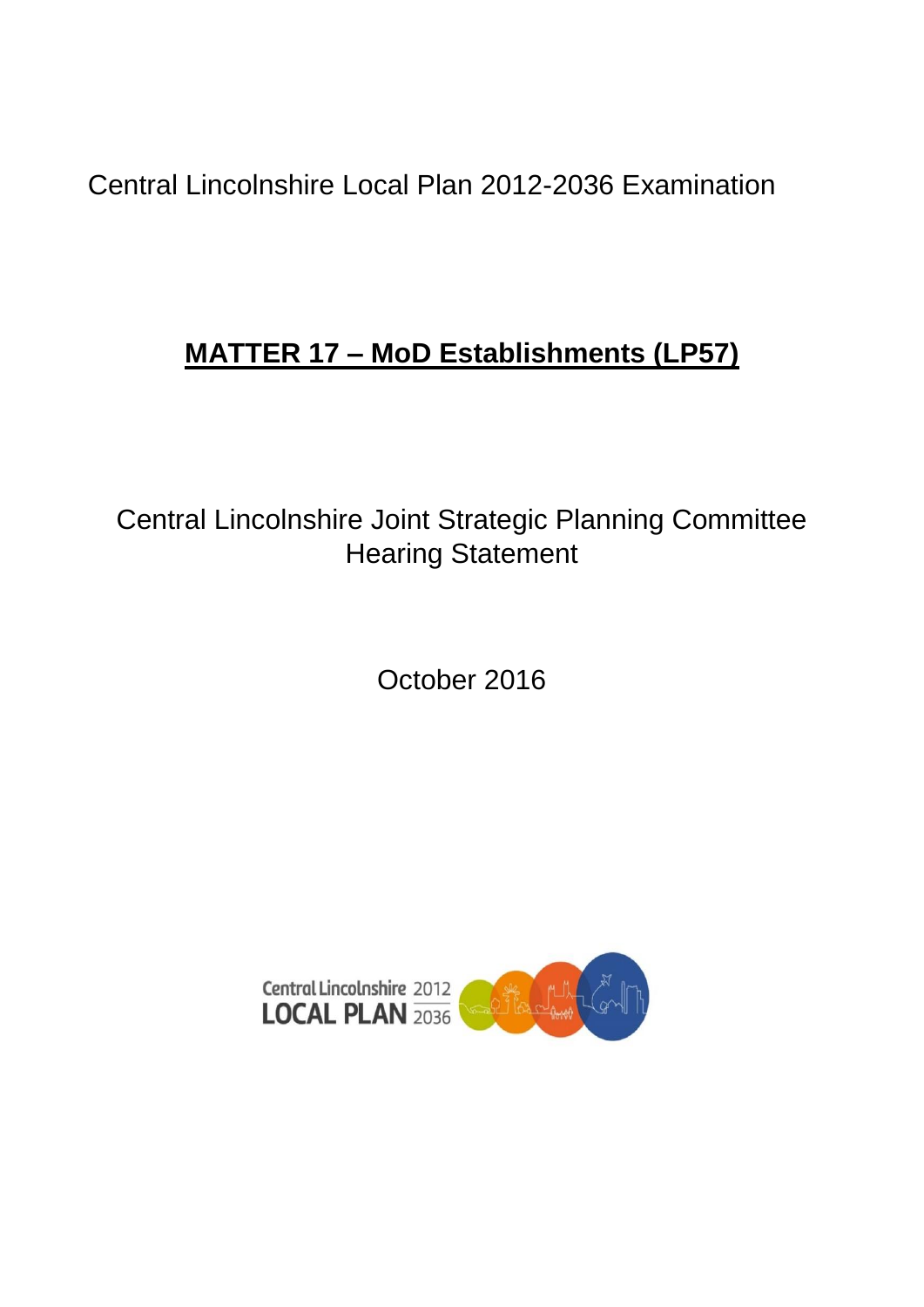Central Lincolnshire Local Plan 2012-2036 Examination

## **MATTER 17 – MoD Establishments (LP57)**

Central Lincolnshire Joint Strategic Planning Committee Hearing Statement

October 2016

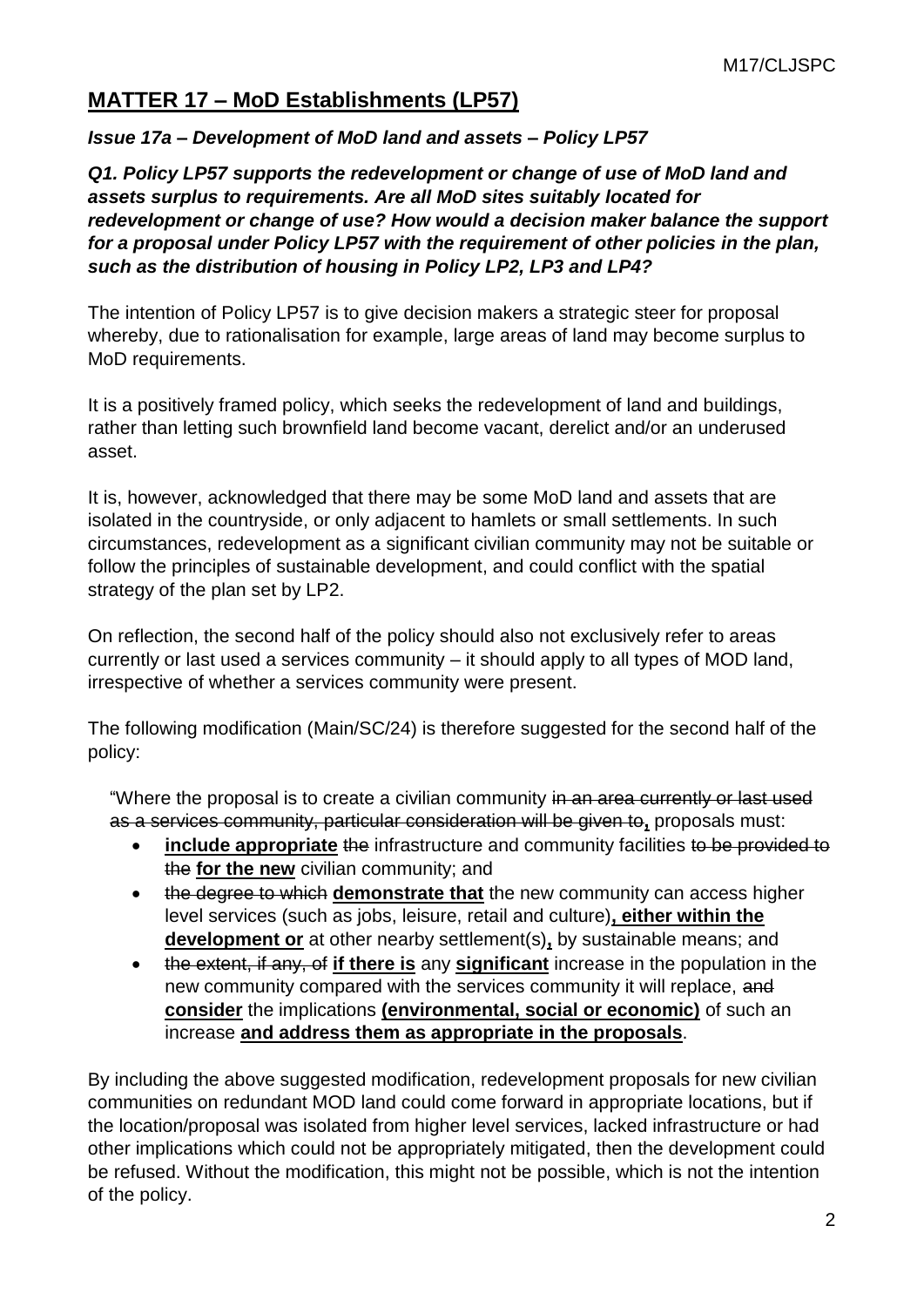## **MATTER 17 – MoD Establishments (LP57)**

## *Issue 17a – Development of MoD land and assets – Policy LP57*

*Q1. Policy LP57 supports the redevelopment or change of use of MoD land and assets surplus to requirements. Are all MoD sites suitably located for redevelopment or change of use? How would a decision maker balance the support for a proposal under Policy LP57 with the requirement of other policies in the plan, such as the distribution of housing in Policy LP2, LP3 and LP4?*

The intention of Policy LP57 is to give decision makers a strategic steer for proposal whereby, due to rationalisation for example, large areas of land may become surplus to MoD requirements.

It is a positively framed policy, which seeks the redevelopment of land and buildings, rather than letting such brownfield land become vacant, derelict and/or an underused asset.

It is, however, acknowledged that there may be some MoD land and assets that are isolated in the countryside, or only adjacent to hamlets or small settlements. In such circumstances, redevelopment as a significant civilian community may not be suitable or follow the principles of sustainable development, and could conflict with the spatial strategy of the plan set by LP2.

On reflection, the second half of the policy should also not exclusively refer to areas currently or last used a services community – it should apply to all types of MOD land, irrespective of whether a services community were present.

The following modification (Main/SC/24) is therefore suggested for the second half of the policy:

"Where the proposal is to create a civilian community in an area currently or last used as a services community, particular consideration will be given to**,** proposals must:

- **include appropriate** the infrastructure and community facilities to be provided to the **for the new** civilian community; and
- the degree to which **demonstrate that** the new community can access higher level services (such as jobs, leisure, retail and culture)**, either within the development or** at other nearby settlement(s)**,** by sustainable means; and
- the extent, if any, of **if there is** any **significant** increase in the population in the new community compared with the services community it will replace, and **consider** the implications **(environmental, social or economic)** of such an increase **and address them as appropriate in the proposals**.

By including the above suggested modification, redevelopment proposals for new civilian communities on redundant MOD land could come forward in appropriate locations, but if the location/proposal was isolated from higher level services, lacked infrastructure or had other implications which could not be appropriately mitigated, then the development could be refused. Without the modification, this might not be possible, which is not the intention of the policy.